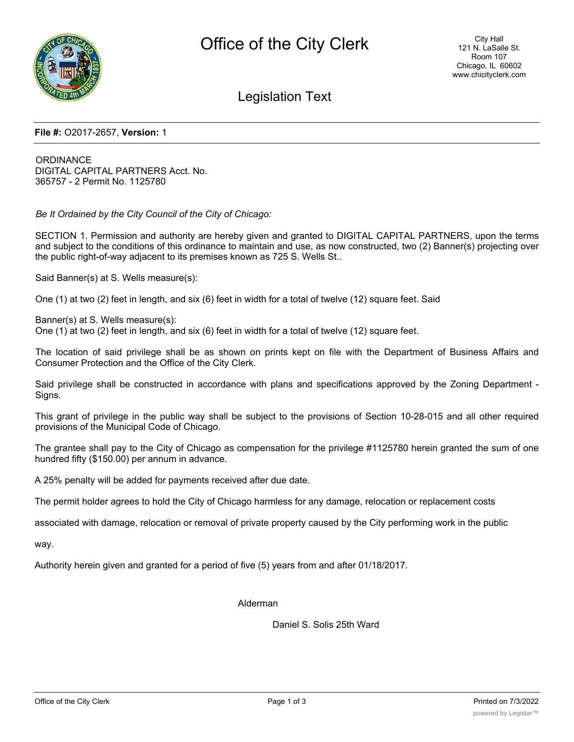

Legislation Text

## **File #:** O2017-2657, **Version:** 1

**ORDINANCE** DIGITAL CAPITAL PARTNERS Acct. No. 365757 - 2 Permit No. 1125780

*Be It Ordained by the City Council of the City of Chicago:*

SECTION 1. Permission and authority are hereby given and granted to DIGITAL CAPITAL PARTNERS, upon the terms and subject to the conditions of this ordinance to maintain and use, as now constructed, two (2) Banner(s) projecting over the public right-of-way adjacent to its premises known as 725 S. Wells St..

Said Banner(s) at S. Wells measure(s):

One (1) at two (2) feet in length, and six (6) feet in width for a total of twelve (12) square feet. Said

Banner(s) at S. Wells measure(s): One (1) at two (2) feet in length, and six (6) feet in width for a total of twelve (12) square feet.

The location of said privilege shall be as shown on prints kept on file with the Department of Business Affairs and Consumer Protection and the Office of the City Clerk.

Said privilege shall be constructed in accordance with plans and specifications approved by the Zoning Department - Signs.

This grant of privilege in the public way shall be subject to the provisions of Section 10-28-015 and all other required provisions of the Municipal Code of Chicago.

The grantee shall pay to the City of Chicago as compensation for the privilege #1125780 herein granted the sum of one hundred fifty (\$150.00) per annum in advance.

A 25% penalty will be added for payments received after due date.

The permit holder agrees to hold the City of Chicago harmless for any damage, relocation or replacement costs

associated with damage, relocation or removal of private property caused by the City performing work in the public

way.

Authority herein given and granted for a period of five (5) years from and after 01/18/2017.

Alderman

Daniel S. Solis 25th Ward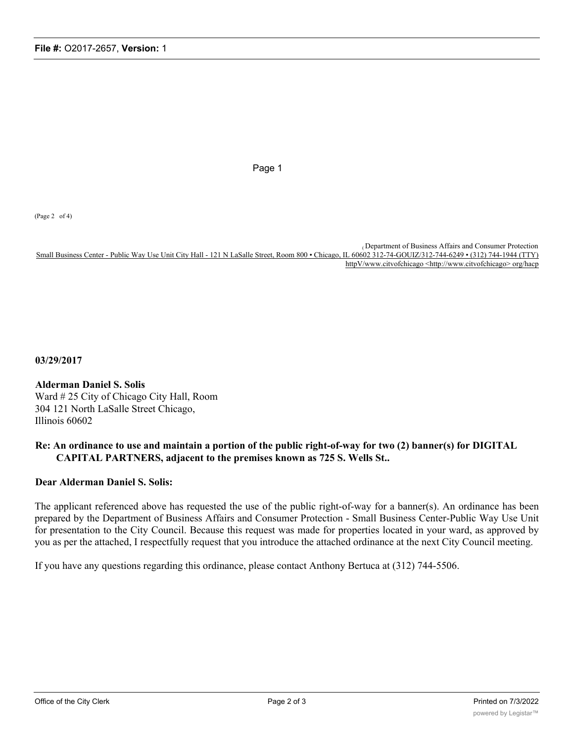Page 1

(Page 2 of 4)

( Department of Business Affairs and Consumer Protection Small Business Center - Public Way Use Unit City Hall - 121 N LaSalle Street, Room 800 • Chicago, IL 60602 312-74-GOUIZ/312-744-6249 • (312) 744-1944 (TTY) httpV/www.citvofchicago <http://www.citvofchicago> org/hacp

**03/29/2017**

**Alderman Daniel S. Solis** Ward # 25 City of Chicago City Hall, Room 304 121 North LaSalle Street Chicago, Illinois 60602

## **Re: An ordinance to use and maintain a portion of the public right-of-way for two (2) banner(s) for DIGITAL CAPITAL PARTNERS, adjacent to the premises known as 725 S. Wells St..**

## **Dear Alderman Daniel S. Solis:**

The applicant referenced above has requested the use of the public right-of-way for a banner(s). An ordinance has been prepared by the Department of Business Affairs and Consumer Protection - Small Business Center-Public Way Use Unit for presentation to the City Council. Because this request was made for properties located in your ward, as approved by you as per the attached, I respectfully request that you introduce the attached ordinance at the next City Council meeting.

If you have any questions regarding this ordinance, please contact Anthony Bertuca at (312) 744-5506.